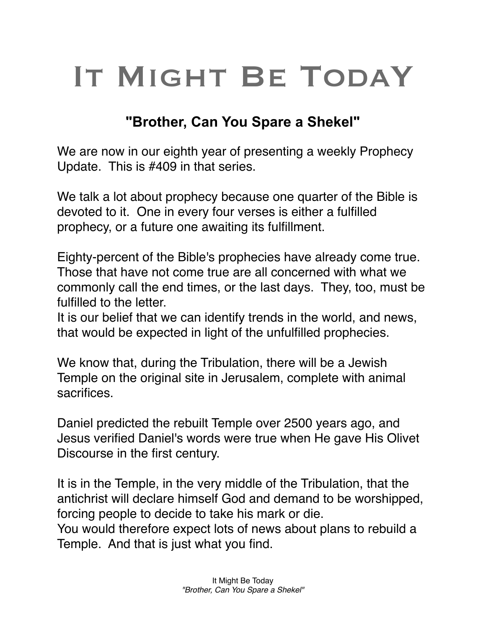## IT MIGHT BE TODAY

## **"Brother, Can You Spare a Shekel"**

We are now in our eighth year of presenting a weekly Prophecy Update. This is #409 in that series.

We talk a lot about prophecy because one quarter of the Bible is devoted to it. One in every four verses is either a fulfilled prophecy, or a future one awaiting its fulfillment.

Eighty-percent of the Bible's prophecies have already come true. Those that have not come true are all concerned with what we commonly call the end times, or the last days. They, too, must be fulfilled to the letter.

It is our belief that we can identify trends in the world, and news, that would be expected in light of the unfulfilled prophecies.

We know that, during the Tribulation, there will be a Jewish Temple on the original site in Jerusalem, complete with animal sacrifices.

Daniel predicted the rebuilt Temple over 2500 years ago, and Jesus verified Daniel's words were true when He gave His Olivet Discourse in the first century.

It is in the Temple, in the very middle of the Tribulation, that the antichrist will declare himself God and demand to be worshipped, forcing people to decide to take his mark or die. You would therefore expect lots of news about plans to rebuild a Temple. And that is just what you find.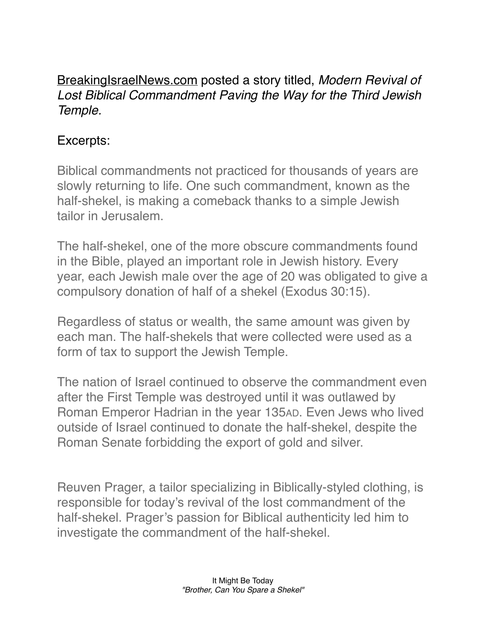## [BreakingIsraelNews.com](http://BreakingIsraelNews.com) posted a story titled, *Modern Revival of Lost Biblical Commandment Paving the Way for the Third Jewish Temple.*

## Excerpts:

Biblical commandments not practiced for thousands of years are slowly returning to life. One such commandment, known as the half-shekel, is making a comeback thanks to a simple Jewish tailor in Jerusalem.

The half-shekel, one of the more obscure commandments found in the Bible, played an important role in Jewish history. Every year, each Jewish male over the age of 20 was obligated to give a compulsory donation of half of a shekel (Exodus 30:15).

Regardless of status or wealth, the same amount was given by each man. The half-shekels that were collected were used as a form of tax to support the Jewish Temple.

The nation of Israel continued to observe the commandment even after the First Temple was destroyed until it was outlawed by Roman Emperor Hadrian in the year 135AD. Even Jews who lived outside of Israel continued to donate the half-shekel, despite the Roman Senate forbidding the export of gold and silver.

Reuven Prager, a tailor specializing in Biblically-styled clothing, is responsible for today's revival of the lost commandment of the half-shekel. Prager's passion for Biblical authenticity led him to investigate the commandment of the half-shekel.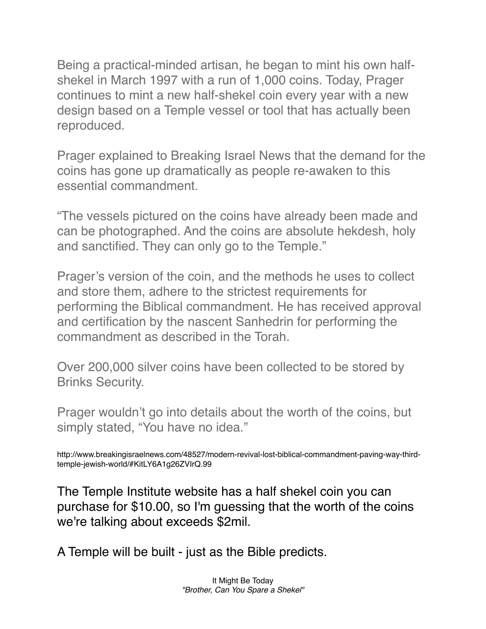Being a practical-minded artisan, he began to mint his own halfshekel in March 1997 with a run of 1,000 coins. Today, Prager continues to mint a new half-shekel coin every year with a new design based on a Temple vessel or tool that has actually been reproduced.

Prager explained to Breaking Israel News that the demand for the coins has gone up dramatically as people re-awaken to this essential commandment.

"The vessels pictured on the coins have already been made and can be photographed. And the coins are absolute hekdesh, holy and sanctified. They can only go to the Temple."

Prager's version of the coin, and the methods he uses to collect and store them, adhere to the strictest requirements for performing the Biblical commandment. He has received approval and certification by the nascent Sanhedrin for performing the commandment as described in the Torah.

Over 200,000 silver coins have been collected to be stored by Brinks Security.

Prager wouldn't go into details about the worth of the coins, but simply stated, "You have no idea."

http://www.breakingisraelnews.com/48527/modern-revival-lost-biblical-commandment-paving-way-thirdtemple-jewish-world/#KitLY6A1g26ZVIrQ.99

The Temple Institute website has a half shekel coin you can purchase for \$10.00, so I'm guessing that the worth of the coins we're talking about exceeds \$2mil.

A Temple will be built - just as the Bible predicts.